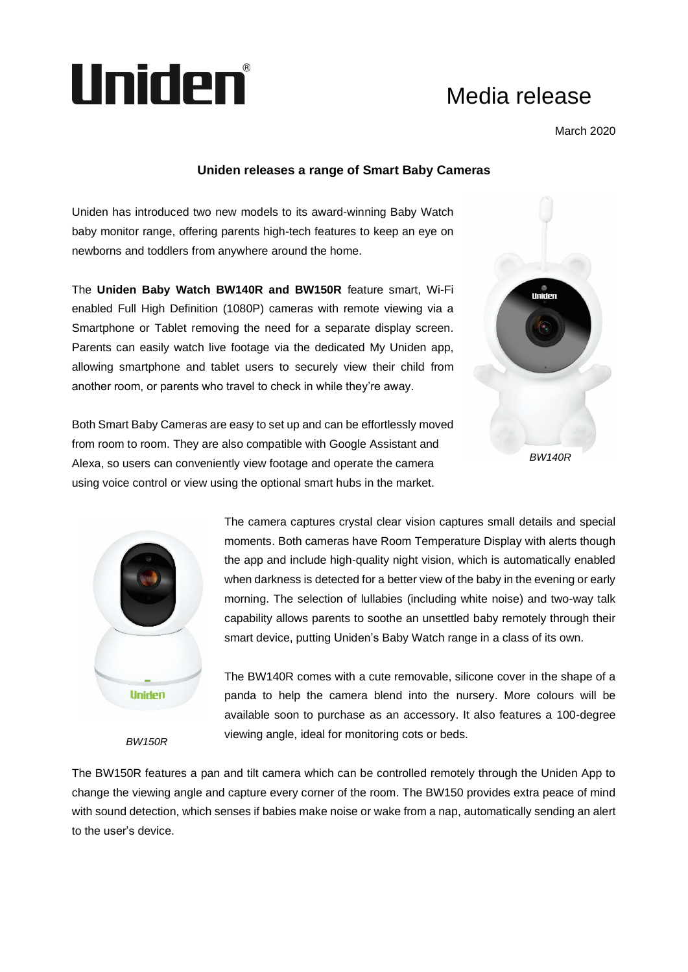

## Media release

March 2020

## **Uniden releases a range of Smart Baby Cameras**

Uniden has introduced two new models to its award-winning Baby Watch baby monitor range, offering parents high-tech features to keep an eye on newborns and toddlers from anywhere around the home.

The **Uniden Baby Watch BW140R and BW150R** feature smart, Wi-Fi enabled Full High Definition (1080P) cameras with remote viewing via a Smartphone or Tablet removing the need for a separate display screen. Parents can easily watch live footage via the dedicated My Uniden app, allowing smartphone and tablet users to securely view their child from another room, or parents who travel to check in while they're away.



Both Smart Baby Cameras are easy to set up and can be effortlessly moved from room to room. They are also compatible with Google Assistant and Alexa, so users can conveniently view footage and operate the camera using voice control or view using the optional smart hubs in the market.



The camera captures crystal clear vision captures small details and special moments. Both cameras have Room Temperature Display with alerts though the app and include high-quality night vision, which is automatically enabled when darkness is detected for a better view of the baby in the evening or early morning. The selection of lullabies (including white noise) and two-way talk capability allows parents to soothe an unsettled baby remotely through their smart device, putting Uniden's Baby Watch range in a class of its own.

The BW140R comes with a cute removable, silicone cover in the shape of a panda to help the camera blend into the nursery. More colours will be available soon to purchase as an accessory. It also features a 100-degree viewing angle, ideal for monitoring cots or beds.

*BW150R*

The BW150R features a pan and tilt camera which can be controlled remotely through the Uniden App to change the viewing angle and capture every corner of the room. The BW150 provides extra peace of mind with sound detection, which senses if babies make noise or wake from a nap, automatically sending an alert to the user's device.